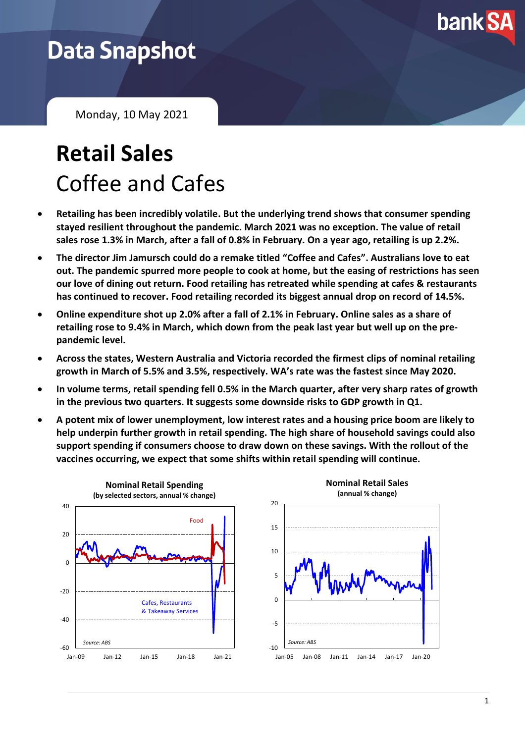

## **Data Snapshot**

Monday, 10 May 2021

# **Retail Sales** Coffee and Cafes

- **Retailing has been incredibly volatile. But the underlying trend shows that consumer spending stayed resilient throughout the pandemic. March 2021 was no exception. The value of retail sales rose 1.3% in March, after a fall of 0.8% in February. On a year ago, retailing is up 2.2%.**
- **The director Jim Jamursch could do a remake titled "Coffee and Cafes". Australians love to eat out. The pandemic spurred more people to cook at home, but the easing of restrictions has seen our love of dining out return. Food retailing has retreated while spending at cafes & restaurants has continued to recover. Food retailing recorded its biggest annual drop on record of 14.5%.**
- **Online expenditure shot up 2.0% after a fall of 2.1% in February. Online sales as a share of retailing rose to 9.4% in March, which down from the peak last year but well up on the prepandemic level.**
- **Across the states, Western Australia and Victoria recorded the firmest clips of nominal retailing growth in March of 5.5% and 3.5%, respectively. WA's rate was the fastest since May 2020.**
- **In volume terms, retail spending fell 0.5% in the March quarter, after very sharp rates of growth in the previous two quarters. It suggests some downside risks to GDP growth in Q1.**
- **A potent mix of lower unemployment, low interest rates and a housing price boom are likely to help underpin further growth in retail spending. The high share of household savings could also support spending if consumers choose to draw down on these savings. With the rollout of the vaccines occurring, we expect that some shifts within retail spending will continue.**

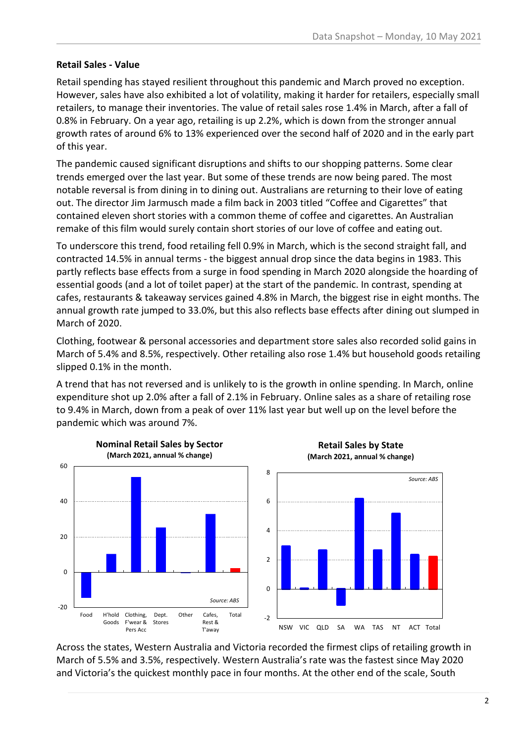#### **Retail Sales - Value**

Retail spending has stayed resilient throughout this pandemic and March proved no exception. However, sales have also exhibited a lot of volatility, making it harder for retailers, especially small retailers, to manage their inventories. The value of retail sales rose 1.4% in March, after a fall of 0.8% in February. On a year ago, retailing is up 2.2%, which is down from the stronger annual growth rates of around 6% to 13% experienced over the second half of 2020 and in the early part of this year.

The pandemic caused significant disruptions and shifts to our shopping patterns. Some clear trends emerged over the last year. But some of these trends are now being pared. The most notable reversal is from dining in to dining out. Australians are returning to their love of eating out. The director Jim Jarmusch made a film back in 2003 titled "Coffee and Cigarettes" that contained eleven short stories with a common theme of coffee and cigarettes. An Australian remake of this film would surely contain short stories of our love of coffee and eating out.

To underscore this trend, food retailing fell 0.9% in March, which is the second straight fall, and contracted 14.5% in annual terms - the biggest annual drop since the data begins in 1983. This partly reflects base effects from a surge in food spending in March 2020 alongside the hoarding of essential goods (and a lot of toilet paper) at the start of the pandemic. In contrast, spending at cafes, restaurants & takeaway services gained 4.8% in March, the biggest rise in eight months. The annual growth rate jumped to 33.0%, but this also reflects base effects after dining out slumped in March of 2020.

Clothing, footwear & personal accessories and department store sales also recorded solid gains in March of 5.4% and 8.5%, respectively. Other retailing also rose 1.4% but household goods retailing slipped 0.1% in the month.

A trend that has not reversed and is unlikely to is the growth in online spending. In March, online expenditure shot up 2.0% after a fall of 2.1% in February. Online sales as a share of retailing rose to 9.4% in March, down from a peak of over 11% last year but well up on the level before the pandemic which was around 7%.



Across the states, Western Australia and Victoria recorded the firmest clips of retailing growth in March of 5.5% and 3.5%, respectively. Western Australia's rate was the fastest since May 2020 and Victoria's the quickest monthly pace in four months. At the other end of the scale, South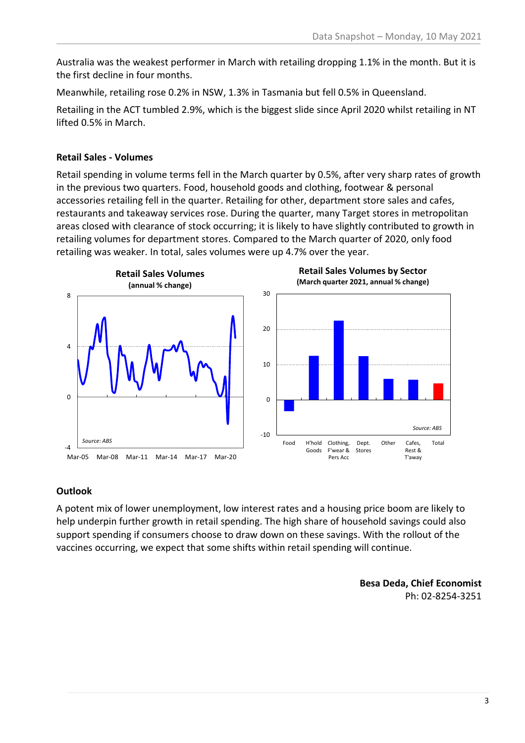Australia was the weakest performer in March with retailing dropping 1.1% in the month. But it is the first decline in four months.

Meanwhile, retailing rose 0.2% in NSW, 1.3% in Tasmania but fell 0.5% in Queensland.

Retailing in the ACT tumbled 2.9%, which is the biggest slide since April 2020 whilst retailing in NT lifted 0.5% in March.

#### **Retail Sales - Volumes**

Retail spending in volume terms fell in the March quarter by 0.5%, after very sharp rates of growth in the previous two quarters. Food, household goods and clothing, footwear & personal accessories retailing fell in the quarter. Retailing for other, department store sales and cafes, restaurants and takeaway services rose. During the quarter, many Target stores in metropolitan areas closed with clearance of stock occurring; it is likely to have slightly contributed to growth in retailing volumes for department stores. Compared to the March quarter of 2020, only food retailing was weaker. In total, sales volumes were up 4.7% over the year.







#### **Outlook**

A potent mix of lower unemployment, low interest rates and a housing price boom are likely to help underpin further growth in retail spending. The high share of household savings could also support spending if consumers choose to draw down on these savings. With the rollout of the vaccines occurring, we expect that some shifts within retail spending will continue.

> **Besa Deda, Chief Economist** Ph: 02-8254-3251